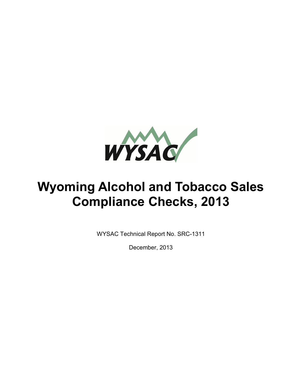

# **Wyoming Alcohol and Tobacco Sales Compliance Checks, 2013**

WYSAC Technical Report No. SRC-1311

December, 2013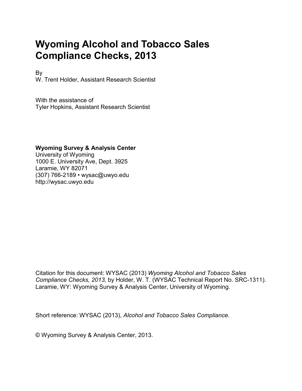# **Wyoming Alcohol and Tobacco Sales Compliance Checks, 2013**

By W. Trent Holder, Assistant Research Scientist

With the assistance of Tyler Hopkins, Assistant Research Scientist

#### **Wyoming Survey & Analysis Center**

University of Wyoming 1000 E. University Ave, Dept. 3925 Laramie, WY 82071 (307) 766-2189 • wysac@uwyo.edu http://wysac.uwyo.edu

Citation for this document: WYSAC (2013) *Wyoming Alcohol and Tobacco Sales Compliance Checks, 2013,* by Holder, W. T. (WYSAC Technical Report No. SRC-1311). Laramie, WY: Wyoming Survey & Analysis Center, University of Wyoming.

Short reference: WYSAC (2013), *Alcohol and Tobacco Sales Compliance*.

© Wyoming Survey & Analysis Center, 2013.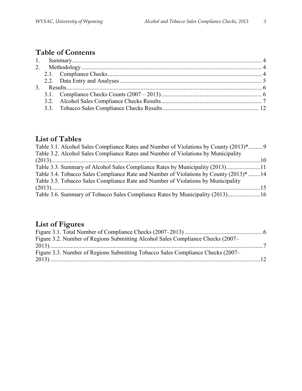## **Table of Contents**

## **List of Tables**

| Table 3.1. Alcohol Sales Compliance Rates and Number of Violations by County (2013)*9  |  |
|----------------------------------------------------------------------------------------|--|
| Table 3.2. Alcohol Sales Compliance Rates and Number of Violations by Municipality     |  |
|                                                                                        |  |
| Table 3.3. Summary of Alcohol Sales Compliance Rates by Municipality (2013)11          |  |
| Table 3.4. Tobacco Sales Compliance Rate and Number of Violations by County (2013)* 14 |  |
| Table 3.5. Tobacco Sales Compliance Rate and Number of Violations by Municipality      |  |
|                                                                                        |  |
| Table 3.6. Summary of Tobacco Sales Compliance Rates by Municipality (2013)16          |  |
|                                                                                        |  |

# **List of Figures**

| Figure 3.2. Number of Regions Submitting Alcohol Sales Compliance Checks (2007– |  |
|---------------------------------------------------------------------------------|--|
|                                                                                 |  |
| Figure 3.3. Number of Regions Submitting Tobacco Sales Compliance Checks (2007– |  |
|                                                                                 |  |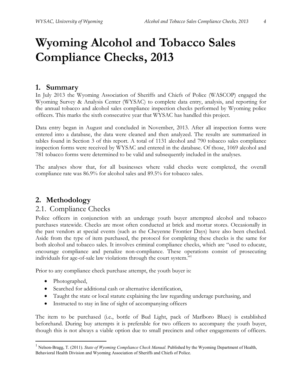# **Wyoming Alcohol and Tobacco Sales Compliance Checks, 2013**

#### **1. Summary**

In July 2013 the Wyoming Association of Sheriffs and Chiefs of Police (WASCOP) engaged the Wyoming Survey & Analysis Center (WYSAC) to complete data entry, analysis, and reporting for the annual tobacco and alcohol sales compliance inspection checks performed by Wyoming police officers. This marks the sixth consecutive year that WYSAC has handled this project.

Data entry began in August and concluded in November, 2013. After all inspection forms were entered into a database, the data were cleaned and then analyzed. The results are summarized in tables found in Section 3 of this report. A total of 1131 alcohol and 790 tobacco sales compliance inspection forms were received by WYSAC and entered in the database. Of those, 1069 alcohol and 781 tobacco forms were determined to be valid and subsequently included in the analyses.

The analyses show that, for all businesses where valid checks were completed, the overall compliance rate was 86.9% for alcohol sales and 89.5% for tobacco sales.

### **2. Methodology**

#### 2.1. Compliance Checks

Police officers in conjunction with an underage youth buyer attempted alcohol and tobacco purchases statewide. Checks are most often conducted at brick and mortar stores. Occasionally in the past vendors at special events (such as the Cheyenne Frontier Days) have also been checked. Aside from the type of item purchased, the protocol for completing these checks is the same for both alcohol and tobacco sales. It involves criminal compliance checks, which are "used to educate, encourage compliance and penalize non-compliance. These operations consist of prosecuting individuals for age-of-sale law violations through the court system."<sup>1</sup>

Prior to any compliance check purchase attempt, the youth buyer is:

- Photographed,
- Searched for additional cash or alternative identification,
- Taught the state or local statute explaining the law regarding underage purchasing, and
- Instructed to stay in line of sight of accompanying officers

The item to be purchased (i.e., bottle of Bud Light, pack of Marlboro Blues) is established beforehand. During buy attempts it is preferable for two officers to accompany the youth buyer, though this is not always a viable option due to small precincts and other engagements of officers.

 1 Nelson-Bragg, T. (2011). *State of Wyoming Compliance Check Manual.* Published by the Wyoming Department of Health, Behavioral Health Division and Wyoming Association of Sheriffs and Chiefs of Police.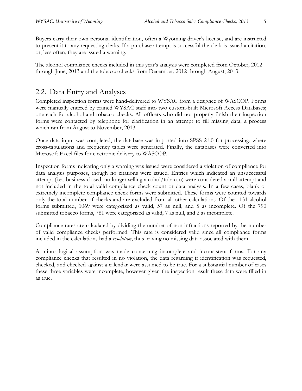Buyers carry their own personal identification, often a Wyoming driver's license, and are instructed to present it to any requesting clerks. If a purchase attempt is successful the clerk is issued a citation, or, less often, they are issued a warning.

The alcohol compliance checks included in this year's analysis were completed from October, 2012 through June, 2013 and the tobacco checks from December, 2012 through August, 2013.

### 2.2. Data Entry and Analyses

Completed inspection forms were hand-delivered to WYSAC from a designee of WASCOP. Forms were manually entered by trained WYSAC staff into two custom-built Microsoft Access Databases; one each for alcohol and tobacco checks. All officers who did not properly finish their inspection forms were contacted by telephone for clarification in an attempt to fill missing data, a process which ran from August to November, 2013.

Once data input was completed, the database was imported into SPSS 21.0 for processing, where cross-tabulations and frequency tables were generated. Finally, the databases were converted into Microsoft Excel files for electronic delivery to WASCOP.

Inspection forms indicating only a warning was issued were considered a violation of compliance for data analysis purposes, though no citations were issued. Entries which indicated an unsuccessful attempt (i.e., business closed, no longer selling alcohol/tobacco) were considered a null attempt and not included in the total valid compliance check count or data analysis. In a few cases, blank or extremely incomplete compliance check forms were submitted. These forms were counted towards only the total number of checks and are excluded from all other calculations. Of the 1131 alcohol forms submitted, 1069 were categorized as valid, 57 as null, and 5 as incomplete. Of the 790 submitted tobacco forms, 781 were categorized as valid, 7 as null, and 2 as incomplete.

Compliance rates are calculated by dividing the number of non-infractions reported by the number of valid compliance checks performed. This rate is considered valid since all compliance forms included in the calculations had a *resolution*, thus leaving no missing data associated with them.

A minor logical assumption was made concerning incomplete and inconsistent forms. For any compliance checks that resulted in no violation, the data regarding if identification was requested, checked, and checked against a calendar were assumed to be true. For a substantial number of cases these three variables were incomplete, however given the inspection result these data were filled in as true.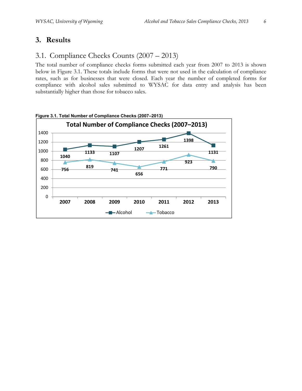## **3. Results**

## 3.1. Compliance Checks Counts (2007 – 2013)

The total number of compliance checks forms submitted each year from 2007 to 2013 is shown below in Figure 3.1. These totals include forms that were not used in the calculation of compliance rates, such as for businesses that were closed. Each year the number of completed forms for compliance with alcohol sales submitted to WYSAC for data entry and analysis has been substantially higher than those for tobacco sales.



**Figure 3.1. Total Number of Compliance Checks (2007–2013)**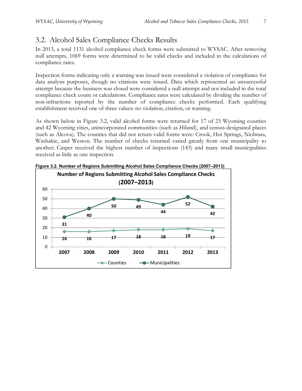## 3.2. Alcohol Sales Compliance Checks Results

In 2013, a total 1131 alcohol compliance check forms were submitted to WYSAC. After removing null attempts, 1069 forms were determined to be valid checks and included in the calculations of compliance rates.

Inspection forms indicating only a warning was issued were considered a violation of compliance for data analysis purposes, though no citations were issued. Data which represented an unsuccessful attempt because the business was closed were considered a null attempt and not included in the total compliance check count or calculations. Compliance rates were calculated by dividing the number of non-infractions reported by the number of compliance checks performed. Each qualifying establishment received one of three values: no violation, citation, or warning.

As shown below in Figure 3.2, valid alcohol forms were returned for 17 of 23 Wyoming counties and 42 Wyoming cities, unincorporated communities (such as Hiland), and census-designated places (such as Alcova). The counties that did not return valid forms were: Crook, Hot Springs, Niobrara, Washakie, and Weston. The number of checks returned varied greatly from one municipality to another; Casper received the highest number of inspections (143) and many small municipalities received as little as one inspection.



**Figure 3.2. Number of Regions Submitting Alcohol Sales Compliance Checks (2007–2013)**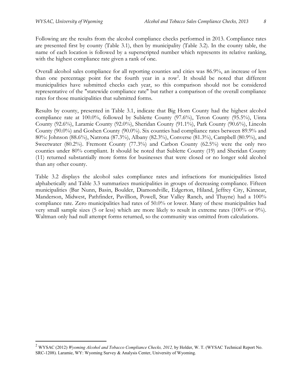-

Following are the results from the alcohol compliance checks performed in 2013. Compliance rates are presented first by county (Table 3.1), then by municipality (Table 3.2). In the county table, the name of each location is followed by a superscripted number which represents its relative ranking, with the highest compliance rate given a rank of one.

Overall alcohol sales compliance for all reporting counties and cities was 86.9%, an increase of less than one percentage point for the fourth year in a row<sup>2</sup>. It should be noted that different municipalities have submitted checks each year, so this comparison should not be considered representative of the "statewide compliance rate" but rather a comparison of the overall compliance rates for those municipalities that submitted forms.

Results by county, presented in Table 3.1, indicate that Big Horn County had the highest alcohol compliance rate at 100.0%, followed by Sublette County (97.6%), Teton County (95.5%), Uinta County (92.6%), Laramie County (92.0%), Sheridan County (91.1%), Park County (90.6%), Lincoln County (90.0%) and Goshen County (90.0%). Six counties had compliance rates between 89.9% and 80%: Johnson (88.6%), Natrona (87.3%), Albany (82.3%), Converse (81.3%), Campbell (80.9%), and Sweetwater (80.2%). Fremont County (77.3%) and Carbon County (62.5%) were the only two counties under 80% compliant. It should be noted that Sublette County (19) and Sheridan County (11) returned substantially more forms for businesses that were closed or no longer sold alcohol than any other county.

Table 3.2 displays the alcohol sales compliance rates and infractions for municipalities listed alphabetically and Table 3.3 summarizes municipalities in groups of decreasing compliance. Fifteen municipalities (Bar Nunn, Basin, Boulder, Diamondville, Edgerton, Hiland, Jeffrey City, Kinnear, Manderson, Midwest, Pathfinder, Pavillion, Powell, Star Valley Ranch, and Thayne) had a 100% compliance rate. Zero municipalities had rates of 50.0% or lower. Many of these municipalities had very small sample sizes (5 or less) which are more likely to result in extreme rates (100% or 0%). Waltman only had null attempt forms returned, so the community was omitted from calculations.

<sup>&</sup>lt;sup>2</sup> WYSAC (2012) *Wyoming Alcohol and Tobacco Compliance Checks, 2012, by Holder, W. T. (WYSAC Technical Report No.* SRC-1208). Laramie, WY: Wyoming Survey & Analysis Center, University of Wyoming.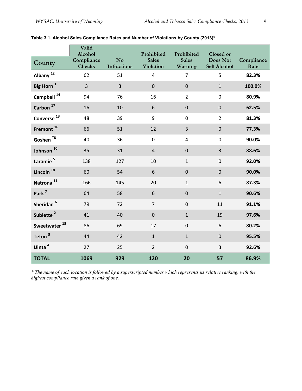|                          | Valid<br>Alcohol<br>Compliance | No                 | Prohibited<br><b>Sales</b> | Prohibited<br><b>Sales</b> | Closed or<br>Does Not | Compliance |
|--------------------------|--------------------------------|--------------------|----------------------------|----------------------------|-----------------------|------------|
| County                   | <b>Checks</b>                  | <b>Infractions</b> | <b>Violation</b>           | Warning                    | Sell Alcohol          | Rate       |
| Albany <sup>12</sup>     | 62                             | 51                 | $\overline{4}$             | $\overline{7}$             | 5                     | 82.3%      |
| Big Horn <sup>1</sup>    | $\overline{3}$                 | $\overline{3}$     | $\boldsymbol{0}$           | $\pmb{0}$                  | $\mathbf{1}$          | 100.0%     |
| Campbell <sup>14</sup>   | 94                             | 76                 | 16                         | $\overline{2}$             | $\mathbf 0$           | 80.9%      |
| Carbon <sup>17</sup>     | 16                             | 10                 | 6                          | $\mathbf 0$                | $\mathbf 0$           | 62.5%      |
| Converse <sup>13</sup>   | 48                             | 39                 | $\boldsymbol{9}$           | $\pmb{0}$                  | $\overline{2}$        | 81.3%      |
| Fremont <sup>16</sup>    | 66                             | 51                 | 12                         | $\overline{3}$             | $\mathbf 0$           | 77.3%      |
| Goshen $^{78}$           | 40                             | 36                 | $\pmb{0}$                  | $\overline{4}$             | $\mathbf 0$           | 90.0%      |
| Johnson <sup>10</sup>    | 35                             | 31                 | $\sqrt{4}$                 | $\pmb{0}$                  | 3                     | 88.6%      |
| Laramie <sup>5</sup>     | 138                            | 127                | 10                         | $\mathbf{1}$               | $\mathbf 0$           | 92.0%      |
| Lincoln <sup>T8</sup>    | 60                             | 54                 | 6                          | $\pmb{0}$                  | $\mathbf 0$           | 90.0%      |
| Natrona <sup>11</sup>    | 166                            | 145                | 20                         | $\mathbf{1}$               | 6                     | 87.3%      |
| Park <sup>7</sup>        | 64                             | 58                 | 6                          | $\mathbf 0$                | $\mathbf{1}$          | 90.6%      |
| Sheridan <sup>6</sup>    | 79                             | 72                 | $\overline{7}$             | $\mathbf 0$                | 11                    | 91.1%      |
| Sublette <sup>2</sup>    | 41                             | 40                 | $\mathbf 0$                | $\mathbf{1}$               | 19                    | 97.6%      |
| Sweetwater <sup>15</sup> | 86                             | 69                 | 17                         | $\boldsymbol{0}$           | 6                     | 80.2%      |
| Teton <sup>3</sup>       | 44                             | 42                 | $1\,$                      | $\mathbf{1}$               | $\mathbf 0$           | 95.5%      |
| Uinta <sup>4</sup>       | 27                             | 25                 | $\overline{2}$             | $\mathbf 0$                | 3                     | 92.6%      |
| <b>TOTAL</b>             | 1069                           | 929                | 120                        | 20                         | 57                    | 86.9%      |

#### **Table 3.1. Alcohol Sales Compliance Rates and Number of Violations by County (2013)\***

*\* The name of each location is followed by a superscripted number which represents its relative ranking, with the highest compliance rate given a rank of one.*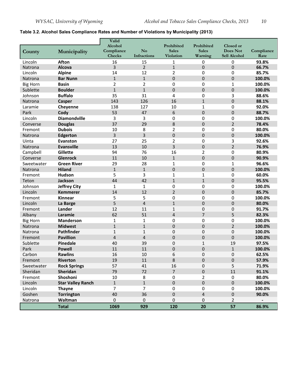#### **Table 3.2. Alcohol Sales Compliance Rates and Number of Violations by Municipality (2013)**

|                 |                          | Valid                 |                |                            |                            |                              |                    |
|-----------------|--------------------------|-----------------------|----------------|----------------------------|----------------------------|------------------------------|--------------------|
|                 |                          | Alcohol<br>Compliance | N <sub>o</sub> | Prohibited<br><b>Sales</b> | Prohibited<br><b>Sales</b> | Closed or<br><b>Does Not</b> |                    |
| County          | Municipality             | Checks                | Infractions    | Violation                  | Warning                    | Sell Alcohol                 | Compliance<br>Rate |
| Lincoln         | <b>Afton</b>             | 16                    | 15             | 1                          | 0                          | 0                            | 93.8%              |
| Natrona         | Alcova                   | 3                     | $\overline{2}$ | $\mathbf{1}$               | $\overline{0}$             | $\overline{0}$               | 66.7%              |
| Lincoln         | <b>Alpine</b>            | 14                    | 12             | $\overline{2}$             | 0                          | 0                            | 85.7%              |
| Natrona         | <b>Bar Nunn</b>          | $\mathbf{1}$          | $\mathbf{1}$   | $\mathbf 0$                | 0                          | $\overline{0}$               | 100.0%             |
| <b>Big Horn</b> | <b>Basin</b>             | $\overline{2}$        | 2              | 0                          | 0                          | $\mathbf{1}$                 | 100.0%             |
| Sublette        | <b>Boulder</b>           | $\mathbf{1}$          | $\mathbf{1}$   | $\overline{0}$             | 0                          | $\pmb{0}$                    | 100.0%             |
| Johnson         | <b>Buffalo</b>           | 35                    | 31             | 4                          | 0                          | 3                            | 88.6%              |
| Natrona         | Casper                   | 143                   | 126            | 16                         | $\mathbf{1}$               | $\overline{0}$               | 88.1%              |
| Laramie         | Cheyenne                 | 138                   | 127            | 10                         | $\mathbf{1}$               | $\mathbf 0$                  | 92.0%              |
| Park            | Cody                     | 53                    | 47             | 6                          | $\overline{0}$             | $\pmb{0}$                    | 88.7%              |
| Lincoln         | <b>Diamondville</b>      | 3                     | 3              | $\boldsymbol{0}$           | 0                          | 0                            | 100.0%             |
| Converse        | <b>Douglas</b>           | 37                    | 29             | 8                          | 0                          | $\overline{2}$               | 78.4%              |
| Fremont         | <b>Dubois</b>            | 10                    | 8              | $\overline{2}$             | 0                          | 0                            | 80.0%              |
| Natrona         | Edgerton                 | 3                     | 3              | $\boldsymbol{0}$           | $\mathbf 0$                | $\mathbf 0$                  | 100.0%             |
| Uinta           | Evanston                 | 27                    | 25             | $\overline{2}$             | 0                          | 3                            | 92.6%              |
| Natrona         | <b>Evansville</b>        | 13                    | 10             | 3                          | 0                          | $\overline{2}$               | 76.9%              |
| Campbell        | Gillette                 | 94                    | 76             | 16                         | $\overline{2}$             | 0                            | 80.9%              |
| Converse        | <b>Glenrock</b>          | 11                    | 10             | $\mathbf{1}$               | 0                          | $\mathbf 0$                  | 90.9%              |
| Sweetwater      | <b>Green River</b>       | 29                    | 28             | $\mathbf{1}$               | 0                          | $\mathbf{1}$                 | 96.6%              |
| Natrona         | <b>Hiland</b>            | $\mathbf{1}$          | $\mathbf{1}$   | $\mathbf 0$                | $\overline{0}$             | $\mathbf 0$                  | 100.0%             |
| Fremont         | <b>Hudson</b>            | 5                     | 3              | $\mathbf{1}$               | $\mathbf{1}$               | $\mathbf 0$                  | 60.0%              |
| Teton           | <b>Jackson</b>           | 44                    | 42             | $\mathbf{1}$               | $\mathbf{1}$               | $\pmb{0}$                    | 95.5%              |
| Johnson         | <b>Jeffrey City</b>      | 1                     | $\mathbf{1}$   | 0                          | 0                          | 0                            | 100.0%             |
| Lincoln         | <b>Kemmerer</b>          | 14                    | 12             | $\overline{2}$             | 0                          | $\overline{0}$               | 85.7%              |
| Fremont         | Kinnear                  | 5                     | 5              | 0                          | 0                          | 0                            | 100.0%             |
| Lincoln         | La Barge                 | 5                     | $\overline{4}$ | $\mathbf{1}$               | $\mathbf 0$                | $\mathbf 0$                  | 80.0%              |
| Fremont         | Lander                   | 12                    | 11             | $\mathbf{1}$               | 0                          | $\mathbf 0$                  | 91.7%              |
| Albany          | Laramie                  | 62                    | 51             | $\overline{4}$             | $\overline{7}$             | 5                            | 82.3%              |
| <b>Big Horn</b> | <b>Manderson</b>         | 1                     | $\mathbf{1}$   | 0                          | 0                          | 0                            | 100.0%             |
| Natrona         | <b>Midwest</b>           | $\mathbf{1}$          | $\mathbf{1}$   | $\pmb{0}$                  | 0                          | $\overline{2}$               | 100.0%             |
| Natrona         | <b>Pathfinder</b>        | $\mathbf{1}$          | $\mathbf{1}$   | 0                          | 0                          | 0                            | 100.0%             |
| Fremont         | <b>Pavillion</b>         | $\overline{4}$        | $\overline{4}$ | $\overline{0}$             | 0                          | $\overline{0}$               | 100.0%             |
| Sublette        | Pinedale                 | 40                    | 39             | 0                          | $\mathbf{1}$               | 19                           | 97.5%              |
| Park            | <b>Powell</b>            | 11                    | 11             | $\mathbf 0$                | $\pmb{0}$                  | $\mathbf{1}$                 | 100.0%             |
| Carbon          | <b>Rawlins</b>           | 16                    | 10             | 6                          | 0                          | 0                            | 62.5%              |
| Fremont         | Riverton                 | $19\,$                | $11\,$         | 8                          | $\pmb{0}$                  | $\pmb{0}$                    | 57.9%              |
| Sweetwater      | <b>Rock Springs</b>      | 57                    | 41             | 16                         | 0                          | 5                            | 71.9%              |
| Sheridan        | Sheridan                 | 79                    | 72             | $\overline{7}$             | $\pmb{0}$                  | 11                           | 91.1%              |
| Fremont         | Shoshoni                 | 10                    | 8              | 0                          | $\overline{2}$             | $\pmb{0}$                    | 80.0%              |
| Lincoln         | <b>Star Valley Ranch</b> | $\mathbf{1}$          | $\mathbf{1}$   | $\pmb{0}$                  | 0                          | $\pmb{0}$                    | 100.0%             |
| Lincoln         | <b>Thayne</b>            | $\overline{7}$        | $\overline{7}$ | 0                          | $\pmb{0}$                  | $\pmb{0}$                    | 100.0%             |
| Goshen          | <b>Torrington</b>        | 40                    | 36             | $\pmb{0}$                  | 4                          | $\pmb{0}$                    | 90.0%              |
| Natrona         | Waltman                  | $\mathbf{0}$          | $\mathbf{0}$   | 0                          | 0                          | $\overline{2}$               |                    |
|                 | <b>Total</b>             | 1069                  | 929            | 120                        | 20                         | 57                           | 86.9%              |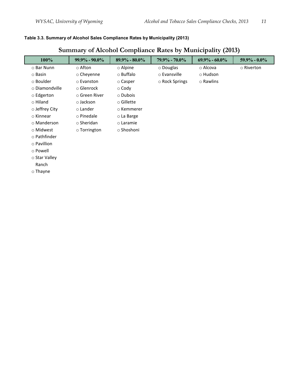#### **Table 3.3. Summary of Alcohol Sales Compliance Rates by Municipality (2013)**

## **Summary of Alcohol Compliance Rates by Municipality (2013)**

| 100%              | $99.9\% - 90.0\%$  | $89.9\% - 80.0\%$ | $79.9\% - 70.0\%$ | $69.9\% - 60.0\%$ | $59.9\% - 0.0\%$ |
|-------------------|--------------------|-------------------|-------------------|-------------------|------------------|
| ○ Bar Nunn        | $\circ$ Afton      | $\circ$ Alpine    | $\circ$ Douglas   | ⊙ Alcova          | o Riverton       |
| $\circ$ Basin     | $\circ$ Cheyenne   | ⊙ Buffalo         | o Evansville      | $\circ$ Hudson    |                  |
| ○ Boulder         | o Evanston         | ○ Casper          | ○ Rock Springs    | ○ Rawlins         |                  |
| ○ Diamondville    | $\circ$ Glenrock   | $\circ$ Cody      |                   |                   |                  |
| $\circ$ Edgerton  | ○ Green River      | $\circ$ Dubois    |                   |                   |                  |
| $\circ$ Hiland    | $\circ$ Jackson    | $\circ$ Gillette  |                   |                   |                  |
| o Jeffrey City    | $\circ$ Lander     | o Kemmerer        |                   |                   |                  |
| ⊙ Kinnear         | $\circ$ Pinedale   | ○ La Barge        |                   |                   |                  |
| ○ Manderson       | $\circ$ Sheridan   | $\circ$ Laramie   |                   |                   |                  |
| ○ Midwest         | $\circ$ Torrington | ○ Shoshoni        |                   |                   |                  |
| o Pathfinder      |                    |                   |                   |                   |                  |
| $\circ$ Pavillion |                    |                   |                   |                   |                  |
| ⊙ Powell          |                    |                   |                   |                   |                  |
| ○ Star Valley     |                    |                   |                   |                   |                  |
| Ranch             |                    |                   |                   |                   |                  |
| $\circ$ Thayne    |                    |                   |                   |                   |                  |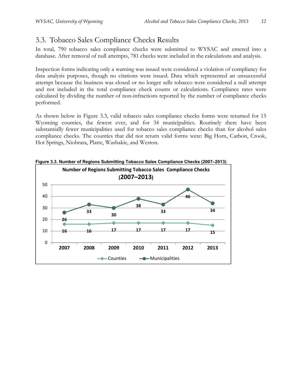## 3.3. Tobacco Sales Compliance Checks Results

In total, 790 tobacco sales compliance checks were submitted to WYSAC and entered into a database. After removal of null attempts, 781 checks were included in the calculations and analysis.

Inspection forms indicating only a warning was issued were considered a violation of compliancy for data analysis purposes, though no citations were issued. Data which represented an unsuccessful attempt because the business was closed or no longer sells tobacco were considered a null attempt and not included in the total compliance check counts or calculations. Compliance rates were calculated by dividing the number of non-infractions reported by the number of compliance checks performed.

As shown below in Figure 3.3, valid tobacco sales compliance checks forms were returned for 15 Wyoming counties, the fewest ever, and for 34 municipalities. Routinely there have been substantially fewer municipalities used for tobacco sales compliance checks than for alcohol sales compliance checks. The counties that did not return valid forms were: Big Horn, Carbon, Crook, Hot Springs, Niobrara, Platte, Washakie, and Weston.



**Figure 3.3. Number of Regions Submitting Tobacco Sales Compliance Checks (2007–2013)**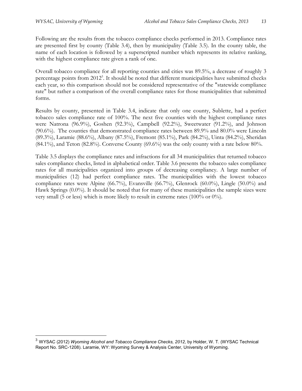<u>.</u>

Following are the results from the tobacco compliance checks performed in 2013. Compliance rates are presented first by county (Table 3.4), then by municipality (Table 3.5). In the county table, the name of each location is followed by a superscripted number which represents its relative ranking, with the highest compliance rate given a rank of one.

Overall tobacco compliance for all reporting counties and cities was 89.5%, a decrease of roughly 3 percentage points from 2012<sup>3</sup>. It should be noted that different municipalities have submitted checks each year, so this comparison should not be considered representative of the "statewide compliance rate" but rather a comparison of the overall compliance rates for those municipalities that submitted forms.

Results by county, presented in Table 3.4, indicate that only one county, Sublette, had a perfect tobacco sales compliance rate of 100%. The next five counties with the highest compliance rates were Natrona (96.9%), Goshen (92.3%), Campbell (92.2%), Sweetwater (91.2%), and Johnson (90.6%). The counties that demonstrated compliance rates between 89.9% and 80.0% were Lincoln (89.3%), Laramie (88.6%), Albany (87.5%), Fremont (85.1%), Park (84.2%), Uinta (84.2%), Sheridan  $(84.1\%)$ , and Teton  $(82.8\%)$ . Converse County  $(69.6\%)$  was the only county with a rate below 80%.

Table 3.5 displays the compliance rates and infractions for all 34 municipalities that returned tobacco sales compliance checks, listed in alphabetical order. Table 3.6 presents the tobacco sales compliance rates for all municipalities organized into groups of decreasing compliancy. A large number of municipalities (12) had perfect compliance rates. The municipalities with the lowest tobacco compliance rates were Alpine (66.7%), Evansville (66.7%), Glenrock (60.0%), Lingle (50.0%) and Hawk Springs (0.0%). It should be noted that for many of these municipalities the sample sizes were very small (5 or less) which is more likely to result in extreme rates (100% or 0%).

<sup>&</sup>lt;sup>3</sup> WYSAC (2012) *Wyoming Alcohol and Tobacco Compliance Checks, 2012, by Holder, W. T. (WYSAC Technical* Report No. SRC-1208). Laramie, WY: Wyoming Survey & Analysis Center, University of Wyoming.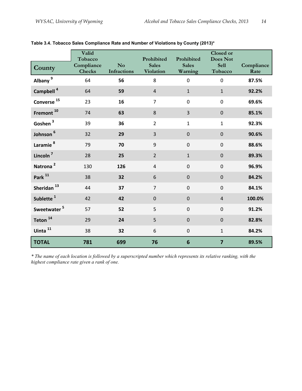| County                  | Valid<br>Tobacco<br>Compliance<br><b>Checks</b> | No<br><b>Infractions</b> | Prohibited<br><b>Sales</b><br>Violation | Prohibited<br><b>Sales</b><br>Warning | Closed or<br><b>Does Not</b><br><b>Sell</b><br>Tobacco | Compliance<br>Rate |
|-------------------------|-------------------------------------------------|--------------------------|-----------------------------------------|---------------------------------------|--------------------------------------------------------|--------------------|
| Albany <sup>9</sup>     | 64                                              | 56                       | 8                                       | $\boldsymbol{0}$                      | 0                                                      | 87.5%              |
| Campbell <sup>4</sup>   | 64                                              | 59                       | $\overline{4}$                          | $\mathbf{1}$                          | $\mathbf{1}$                                           | 92.2%              |
| Converse $^{15}$        | 23                                              | 16                       | 7                                       | $\mathbf 0$                           | $\mathbf 0$                                            | 69.6%              |
| Fremont <sup>10</sup>   | 74                                              | 63                       | 8                                       | $\overline{3}$                        | $\mathbf 0$                                            | 85.1%              |
| Goshen <sup>3</sup>     | 39                                              | 36                       | $\overline{2}$                          | $\mathbf{1}$                          | $\mathbf{1}$                                           | 92.3%              |
| Johnson <sup>6</sup>    | 32                                              | 29                       | 3                                       | $\mathbf 0$                           | $\mathbf 0$                                            | 90.6%              |
| Laramie <sup>8</sup>    | 79                                              | 70                       | 9                                       | $\mathbf 0$                           | $\pmb{0}$                                              | 88.6%              |
| Lincoln <sup>7</sup>    | 28                                              | 25                       | $\overline{2}$                          | $\mathbf{1}$                          | $\mathbf 0$                                            | 89.3%              |
| Natrona <sup>2</sup>    | 130                                             | 126                      | $\sqrt{4}$                              | $\mathbf 0$                           | $\mathbf 0$                                            | 96.9%              |
| Park <sup>11</sup>      | 38                                              | 32                       | $6\,$                                   | $\mathbf 0$                           | $\mathbf 0$                                            | 84.2%              |
| Sheridan <sup>13</sup>  | 44                                              | 37                       | $\overline{7}$                          | $\mathbf 0$                           | $\mathbf 0$                                            | 84.1%              |
| Sublette <sup>1</sup>   | 42                                              | 42                       | $\mathbf 0$                             | $\mathbf 0$                           | $\overline{4}$                                         | 100.0%             |
| Sweetwater <sup>5</sup> | 57                                              | 52                       | 5                                       | $\mathbf 0$                           | $\mathbf 0$                                            | 91.2%              |
| Teton <sup>14</sup>     | 29                                              | 24                       | 5                                       | $\mathbf 0$                           | $\mathbf 0$                                            | 82.8%              |
| Uinta <sup>11</sup>     | 38                                              | 32                       | 6                                       | $\mathbf 0$                           | $\mathbf{1}$                                           | 84.2%              |
| <b>TOTAL</b>            | 781                                             | 699                      | 76                                      | 6                                     | $\overline{7}$                                         | 89.5%              |

**Table 3.4. Tobacco Sales Compliance Rate and Number of Violations by County (2013)\*** 

*\* The name of each location is followed by a superscripted number which represents its relative ranking, with the highest compliance rate given a rank of one.*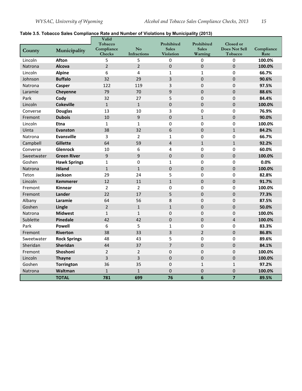#### **Table 3.5. Tobacco Sales Compliance Rate and Number of Violations by Municipality (2013)**

|                |                     | Valid<br>Tobacco     |                   | Prohibited                       | Prohibited              | Closed or                |                    |
|----------------|---------------------|----------------------|-------------------|----------------------------------|-------------------------|--------------------------|--------------------|
| County         | Municipality        | Compliance<br>Checks | No<br>Infractions | <b>Sales</b><br><b>Violation</b> | <b>Sales</b><br>Warning | Does Not Sell<br>Tobacco | Compliance<br>Rate |
| Lincoln        | <b>Afton</b>        | 5                    | 5                 | $\Omega$                         | 0                       | 0                        | 100.0%             |
| Natrona        | <b>Alcova</b>       | $\overline{2}$       | $\overline{2}$    | $\mathbf 0$                      | 0                       | $\overline{0}$           | 100.0%             |
| Lincoln        | <b>Alpine</b>       | 6                    | 4                 | $\mathbf{1}$                     | $\mathbf{1}$            | 0                        | 66.7%              |
| Johnson        | <b>Buffalo</b>      | 32                   | 29                | 3                                | 0                       | 0                        | 90.6%              |
| Natrona        | Casper              | 122                  | 119               | 3                                | $\boldsymbol{0}$        | 0                        | 97.5%              |
| Laramie        | Cheyenne            | 79                   | 70                | 9                                | 0                       | 0                        | 88.6%              |
| Park           | Cody                | 32                   | 27                | 5                                | 0                       | 0                        | 84.4%              |
| Lincoln        | <b>Cokeville</b>    | $\mathbf{1}$         | $\mathbf{1}$      | $\overline{0}$                   | 0                       | 0                        | 100.0%             |
| Converse       | <b>Douglas</b>      | 13                   | 10                | 3                                | 0                       | 0                        | 76.9%              |
| Fremont        | <b>Dubois</b>       | 10                   | 9                 | $\mathbf 0$                      | $\mathbf{1}$            | 0                        | 90.0%              |
| Lincoln        | <b>Etna</b>         | $\mathbf{1}$         | $\mathbf{1}$      | $\mathbf 0$                      | 0                       | 0                        | 100.0%             |
| Uinta          | <b>Evanston</b>     | 38                   | 32                | 6                                | $\mathbf 0$             | $\mathbf{1}$             | 84.2%              |
| Natrona        | <b>Evansville</b>   | 3                    | $\overline{2}$    | $\mathbf{1}$                     | $\pmb{0}$               | 0                        | 66.7%              |
| Campbell       | <b>Gillette</b>     | 64                   | 59                | $\overline{4}$                   | $\mathbf{1}$            | $\mathbf{1}$             | 92.2%              |
| Converse       | Glenrock            | 10                   | 6                 | 4                                | 0                       | 0                        | 60.0%              |
| Sweetwater     | <b>Green River</b>  | 9                    | 9                 | $\mathbf 0$                      | $\mathbf 0$             | 0                        | 100.0%             |
| Goshen         | <b>Hawk Springs</b> | $\mathbf{1}$         | 0                 | $\mathbf{1}$                     | 0                       | 0                        | 0.0%               |
| <b>Natrona</b> | <b>Hiland</b>       | $\mathbf{1}$         | $\mathbf{1}$      | $\mathbf 0$                      | $\mathbf 0$             | 0                        | 100.0%             |
| Teton          | Jackson             | 29                   | 24                | 5                                | 0                       | 0                        | 82.8%              |
| Lincoln        | <b>Kemmerer</b>     | 12                   | 11                | $\mathbf{1}$                     | 0                       | 0                        | 91.7%              |
| Fremont        | <b>Kinnear</b>      | $\overline{2}$       | $\overline{2}$    | $\mathbf 0$                      | 0                       | 0                        | 100.0%             |
| Fremont        | Lander              | 22                   | 17                | 5                                | 0                       | 0                        | 77.3%              |
| Albany         | Laramie             | 64                   | 56                | 8                                | 0                       | 0                        | 87.5%              |
| Goshen         | Lingle              | $\overline{2}$       | $\mathbf{1}$      | $\mathbf{1}$                     | 0                       | 0                        | 50.0%              |
| Natrona        | <b>Midwest</b>      | $\mathbf{1}$         | $\mathbf{1}$      | $\Omega$                         | 0                       | $\Omega$                 | 100.0%             |
| Sublette       | Pinedale            | 42                   | 42                | $\pmb{0}$                        | 0                       | 4                        | 100.0%             |
| Park           | <b>Powell</b>       | 6                    | 5                 | $\mathbf{1}$                     | $\pmb{0}$               | 0                        | 83.3%              |
| Fremont        | Riverton            | 38                   | 33                | $\overline{3}$                   | $\overline{2}$          | 0                        | 86.8%              |
| Sweetwater     | <b>Rock Springs</b> | 48                   | 43                | 5                                | $\pmb{0}$               | 0                        | 89.6%              |
| Sheridan       | Sheridan            | 44                   | 37                | $\overline{7}$                   | $\boldsymbol{0}$        | $\boldsymbol{0}$         | 84.1%              |
| Fremont        | Shoshoni            | $\overline{2}$       | $\overline{2}$    | $\pmb{0}$                        | 0                       | 0                        | 100.0%             |
| Lincoln        | <b>Thayne</b>       | 3                    | 3                 | $\mathbf 0$                      | $\mathbf 0$             | 0                        | 100.0%             |
| Goshen         | <b>Torrington</b>   | 36                   | 35                | $\mathbf 0$                      | $\mathbf{1}$            | $\mathbf{1}$             | 97.2%              |
| Natrona        | Waltman             | $\mathbf{1}$         | $\mathbf{1}$      | $\mathbf 0$                      | $\mathbf 0$             | 0                        | 100.0%             |
|                | <b>TOTAL</b>        | 781                  | 699               | 76                               | 6                       | $\overline{7}$           | 89.5%              |